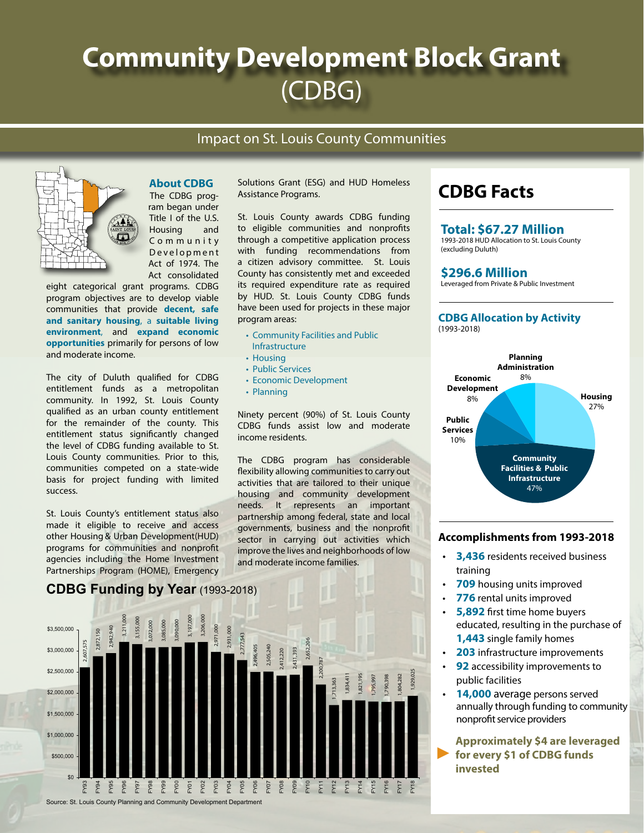# **Community Development Block Grant** (CDBG)

### Impact on St. Louis County Communities



#### **About CDBG** The CDBG prog-

ram began under Title I of the U.S. Housing and C o m m u n i t y Development Act of 1974. The Act consolidated

eight categorical grant programs. CDBG program objectives are to develop viable communities that provide **decent, safe and sanitary housing**, a **suitable living environment**, and **expand economic opportunities** primarily for persons of low and moderate income.

The city of Duluth qualified for CDBG entitlement funds as a metropolitan community. In 1992, St. Louis County qualified as an urban county entitlement for the remainder of the county. This entitlement status significantly changed the level of CDBG funding available to St. Louis County communities. Prior to this, communities competed on a state-wide basis for project funding with limited success.

St. Louis County's entitlement status also made it eligible to receive and access other Housing & Urban Development(HUD) programs for communities and nonprofit agencies including the Home Investment Partnerships Program (HOME), Emergency

### **CDBG Funding by Year** (1993-2018)



Solutions Grant (ESG) and HUD Homeless Assistance Programs.

St. Louis County awards CDBG funding to eligible communities and nonprofits through a competitive application process with funding recommendations from a citizen advisory committee. St. Louis County has consistently met and exceeded its required expenditure rate as required by HUD. St. Louis County CDBG funds have been used for projects in these major program areas:

- Community Facilities and Public Infrastructure
- Housing
- Public Services
- Economic Development
- Planning

Ninety percent (90%) of St. Louis County CDBG funds assist low and moderate income residents.

The CDBG program has considerable flexibility allowing communities to carry out activities that are tailored to their unique housing and community development needs. It represents an important partnership among federal, state and local governments, business and the nonprofit sector in carrying out activities which improve the lives and neighborhoods of low and moderate income families.

# **CDBG Facts**

#### **Total: \$67.27 Million**

1993-2018 HUD Allocation to St. Louis County (excluding Duluth)

#### **\$296.6 Million**

Leveraged from Private & Public Investment

#### **CDBG Allocation by Activity**  (1993-2018)



### **Accomplishments from 1993-2018**

- **3,436** residents received business training
- **709** housing units improved
- **776** rental units improved
- **5,892** first time home buyers educated, resulting in the purchase of **1,443** single family homes
- **203** infrastructure improvements
- **92** accessibility improvements to public facilities
- **14,000** average persons served annually through funding to community nonprofit service providers

**Approximately \$4 are leveraged for every \$1 of CDBG funds invested ◄**